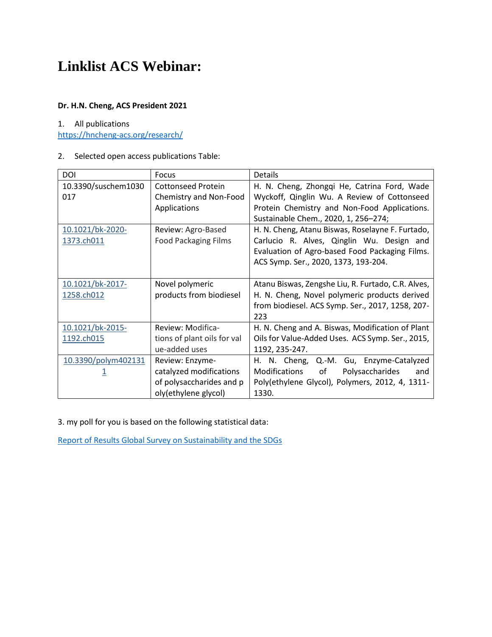## **Linklist ACS Webinar:**

#### **Dr. H.N. Cheng, ACS President 2021**

#### 1. All publications

<https://hncheng-acs.org/research/>

## 2. Selected open access publications Table:

| <b>DOI</b>          | <b>Focus</b>                | Details                                            |
|---------------------|-----------------------------|----------------------------------------------------|
| 10.3390/suschem1030 | <b>Cottonseed Protein</b>   | H. N. Cheng, Zhongqi He, Catrina Ford, Wade        |
| 017                 | Chemistry and Non-Food      | Wyckoff, Qinglin Wu. A Review of Cottonseed        |
|                     | Applications                | Protein Chemistry and Non-Food Applications.       |
|                     |                             | Sustainable Chem., 2020, 1, 256-274;               |
| 10.1021/bk-2020-    | Review: Agro-Based          | H. N. Cheng, Atanu Biswas, Roselayne F. Furtado,   |
| 1373.ch011          | <b>Food Packaging Films</b> | Carlucio R. Alves, Qinglin Wu. Design and          |
|                     |                             | Evaluation of Agro-based Food Packaging Films.     |
|                     |                             | ACS Symp. Ser., 2020, 1373, 193-204.               |
|                     |                             |                                                    |
| 10.1021/bk-2017-    | Novel polymeric             | Atanu Biswas, Zengshe Liu, R. Furtado, C.R. Alves, |
| 1258.ch012          | products from biodiesel     | H. N. Cheng, Novel polymeric products derived      |
|                     |                             | from biodiesel. ACS Symp. Ser., 2017, 1258, 207-   |
|                     |                             | 223                                                |
| 10.1021/bk-2015-    | Review: Modifica-           | H. N. Cheng and A. Biswas, Modification of Plant   |
| 1192.ch015          | tions of plant oils for val | Oils for Value-Added Uses. ACS Symp. Ser., 2015,   |
|                     | ue-added uses               | 1192, 235-247.                                     |
| 10.3390/polym402131 | Review: Enzyme-             | H. N. Cheng, Q.-M. Gu, Enzyme-Catalyzed            |
|                     | catalyzed modifications     | Modifications<br>of<br>Polysaccharides<br>and      |
|                     | of polysaccharides and p    | Poly(ethylene Glycol), Polymers, 2012, 4, 1311-    |
|                     | oly(ethylene glycol)        | 1330.                                              |

3. my poll for you is based on the following statistical data:

[Report of Results Global Survey on Sustainability and the SDGs](https://www.globalsurvey-sdgs.com/wp-content/uploads/2020/01/20200205_SC_Global_Survey_Result-Report_english_final.pdf)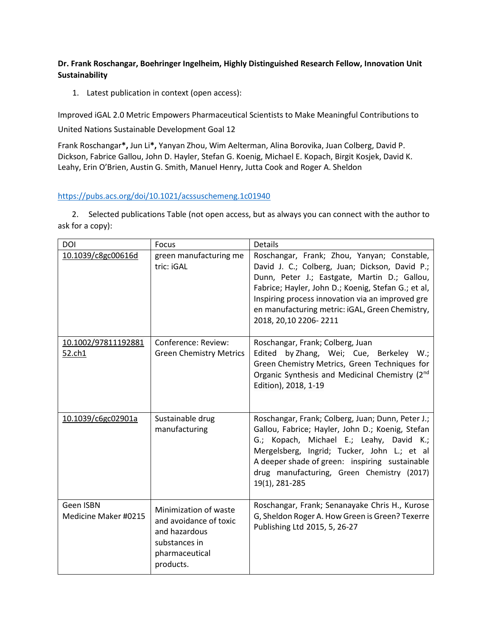## **Dr. Frank Roschangar, Boehringer Ingelheim, Highly Distinguished Research Fellow, Innovation Unit Sustainability**

1. Latest publication in context (open access):

Improved iGAL 2.0 Metric Empowers Pharmaceutical Scientists to Make Meaningful Contributions to

United Nations Sustainable Development Goal 12

Frank Roschangar**\*,** Jun Li**\*,** Yanyan Zhou, Wim Aelterman, Alina Borovika, Juan Colberg, David P. Dickson, Fabrice Gallou, John D. Hayler, Stefan G. Koenig, Michael E. Kopach, Birgit Kosjek, David K. Leahy, Erin O'Brien, Austin G. Smith, Manuel Henry, Jutta Cook and Roger A. Sheldon

### <https://pubs.acs.org/doi/10.1021/acssuschemeng.1c01940>

 2. Selected publications Table (not open access, but as always you can connect with the author to ask for a copy):

| DOI                                  | Focus                                                                                                            | <b>Details</b>                                                                                                                                                                                                                                                                                                                          |
|--------------------------------------|------------------------------------------------------------------------------------------------------------------|-----------------------------------------------------------------------------------------------------------------------------------------------------------------------------------------------------------------------------------------------------------------------------------------------------------------------------------------|
| 10.1039/c8gc00616d                   | green manufacturing me<br>tric: iGAL                                                                             | Roschangar, Frank; Zhou, Yanyan; Constable,<br>David J. C.; Colberg, Juan; Dickson, David P.;<br>Dunn, Peter J.; Eastgate, Martin D.; Gallou,<br>Fabrice; Hayler, John D.; Koenig, Stefan G.; et al,<br>Inspiring process innovation via an improved gre<br>en manufacturing metric: iGAL, Green Chemistry,<br>2018, 20, 10 2206 - 2211 |
| <u>10.1002/97811192881</u><br>52.ch1 | Conference: Review:<br><b>Green Chemistry Metrics</b>                                                            | Roschangar, Frank; Colberg, Juan<br>Edited by Zhang, Wei; Cue, Berkeley W.;<br>Green Chemistry Metrics, Green Techniques for<br>Organic Synthesis and Medicinal Chemistry (2nd<br>Edition), 2018, 1-19                                                                                                                                  |
| 10.1039/c6gc02901a                   | Sustainable drug<br>manufacturing                                                                                | Roschangar, Frank; Colberg, Juan; Dunn, Peter J.;<br>Gallou, Fabrice; Hayler, John D.; Koenig, Stefan<br>G.; Kopach, Michael E.; Leahy, David K.;<br>Mergelsberg, Ingrid; Tucker, John L.; et al<br>A deeper shade of green: inspiring sustainable<br>drug manufacturing, Green Chemistry (2017)<br>19(1), 281-285                      |
| Geen ISBN<br>Medicine Maker #0215    | Minimization of waste<br>and avoidance of toxic<br>and hazardous<br>substances in<br>pharmaceutical<br>products. | Roschangar, Frank; Senanayake Chris H., Kurose<br>G, Sheldon Roger A. How Green is Green? Texerre<br>Publishing Ltd 2015, 5, 26-27                                                                                                                                                                                                      |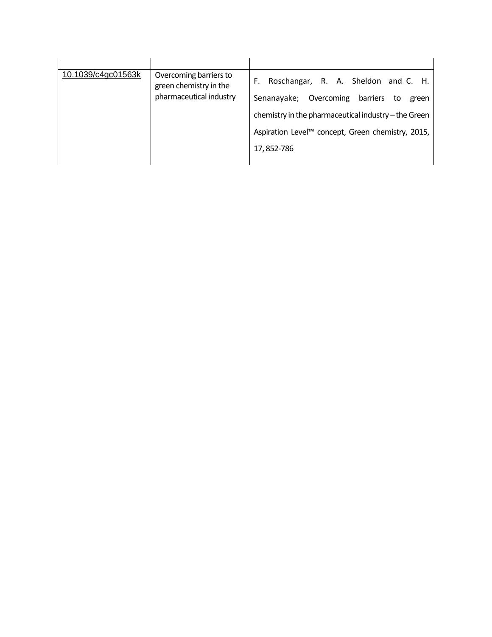| 10.1039/c4gc01563k | Overcoming barriers to<br>green chemistry in the<br>pharmaceutical industry | F. Roschangar, R. A. Sheldon and C. H.               |
|--------------------|-----------------------------------------------------------------------------|------------------------------------------------------|
|                    |                                                                             | Senanayake; Overcoming barriers<br>to<br>green       |
|                    |                                                                             | chemistry in the pharmaceutical industry – the Green |
|                    |                                                                             | Aspiration Level™ concept, Green chemistry, 2015,    |
|                    |                                                                             | 17, 852-786                                          |
|                    |                                                                             |                                                      |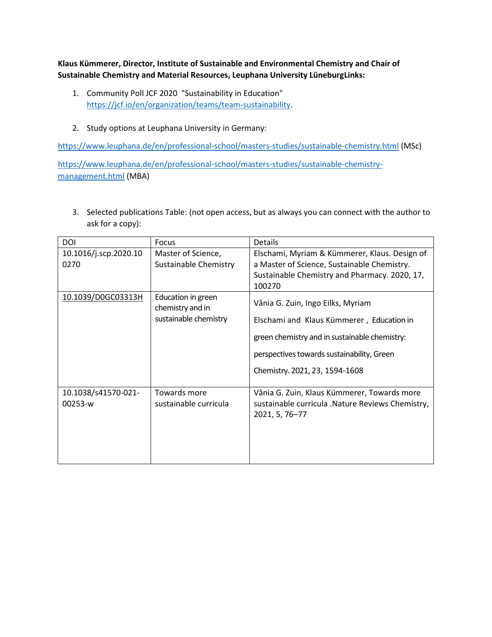**Klaus Kümmerer, Director, Institute of Sustainable and Environmental Chemistry and Chair of Sustainable Chemistry and Material Resources, Leuphana University LüneburgLinks:**

- 1. Community Poll JCF 2020 "Sustainability in Education" [https://jcf.io/en/organization/teams/team-sustainability.](https://smex12-5-en-ctp.trendmicro.com/wis/clicktime/v1/query?url=https%3a%2f%2fjcf.io%2fen%2forganization%2fteams%2fteam%2dsustainability&umid=86bca629-f08e-4159-bd8e-1a4d51530105&auth=0463bafb6650d356e56a2e2e21a2156df1672070-b0baea0f1f7278cc4ab68ba03b189d188607f8cb)
- 2. Study options at Leuphana University in Germany:

<https://www.leuphana.de/en/professional-school/masters-studies/sustainable-chemistry.html> (MSc)

[https://www.leuphana.de/en/professional-school/masters-studies/sustainable-chemistry](https://www.leuphana.de/en/professional-school/masters-studies/sustainable-chemistry-management.html)[management.html](https://www.leuphana.de/en/professional-school/masters-studies/sustainable-chemistry-management.html) (MBA)

3. Selected publications Table: (not open access, but as always you can connect with the author to ask for a copy):

| <b>DOI</b>                     | Focus                                                           | <b>Details</b>                                                                                                                                                                                                  |
|--------------------------------|-----------------------------------------------------------------|-----------------------------------------------------------------------------------------------------------------------------------------------------------------------------------------------------------------|
| 10.1016/j.scp.2020.10<br>0270  | Master of Science,<br>Sustainable Chemistry                     | Elschami, Myriam & Kümmerer, Klaus. Design of<br>a Master of Science, Sustainable Chemistry.<br>Sustainable Chemistry and Pharmacy. 2020, 17,<br>100270                                                         |
| 10.1039/D0GC03313H             | Education in green<br>chemistry and in<br>sustainable chemistry | Vânia G. Zuin, Ingo Eilks, Myriam<br>Elschami and Klaus Kümmerer, Education in<br>green chemistry and in sustainable chemistry:<br>perspectives towards sustainability, Green<br>Chemistry. 2021, 23, 1594-1608 |
| 10.1038/s41570-021-<br>00253-w | Towards more<br>sustainable curricula                           | Vânia G. Zuin, Klaus Kümmerer, Towards more<br>sustainable curricula .Nature Reviews Chemistry,<br>2021, 5, 76-77                                                                                               |